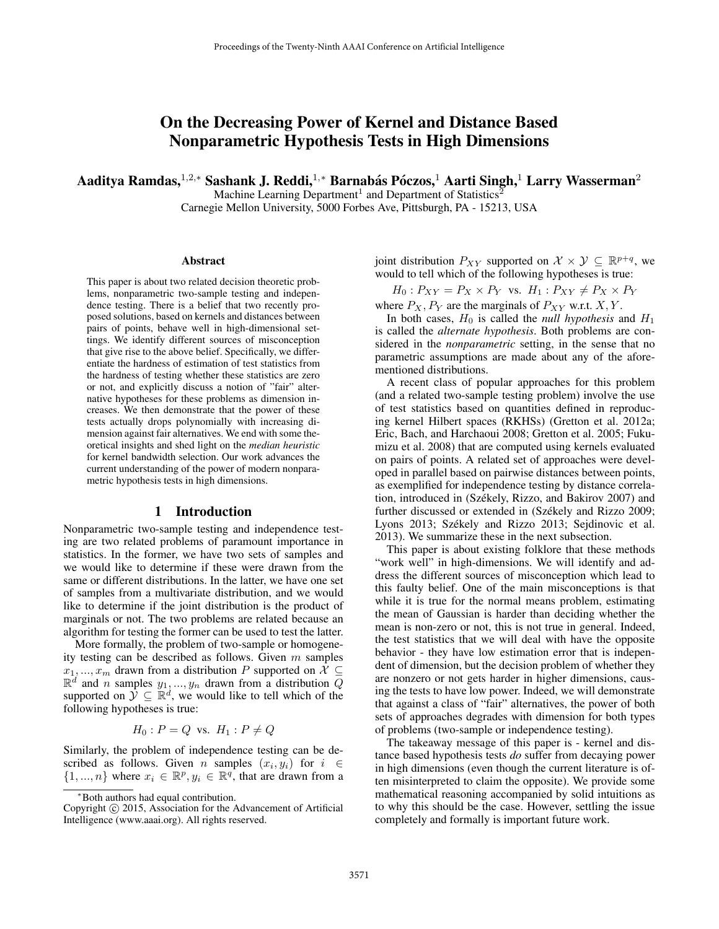# On the Decreasing Power of Kernel and Distance Based Nonparametric Hypothesis Tests in High Dimensions

Aaditya Ramdas, $^{1,2,*}$  Sashank J. Reddi, $^{1,*}$  Barnabás Póczos, $^1$  Aarti Singh, $^1$  Larry Wasserman $^2$ 

Machine Learning Department<sup>1</sup> and Department of Statistics<sup>2</sup>

Carnegie Mellon University, 5000 Forbes Ave, Pittsburgh, PA - 15213, USA

## Abstract

This paper is about two related decision theoretic problems, nonparametric two-sample testing and independence testing. There is a belief that two recently proposed solutions, based on kernels and distances between pairs of points, behave well in high-dimensional settings. We identify different sources of misconception that give rise to the above belief. Specifically, we differentiate the hardness of estimation of test statistics from the hardness of testing whether these statistics are zero or not, and explicitly discuss a notion of "fair" alternative hypotheses for these problems as dimension increases. We then demonstrate that the power of these tests actually drops polynomially with increasing dimension against fair alternatives. We end with some theoretical insights and shed light on the *median heuristic* for kernel bandwidth selection. Our work advances the current understanding of the power of modern nonparametric hypothesis tests in high dimensions.

# 1 Introduction

Nonparametric two-sample testing and independence testing are two related problems of paramount importance in statistics. In the former, we have two sets of samples and we would like to determine if these were drawn from the same or different distributions. In the latter, we have one set of samples from a multivariate distribution, and we would like to determine if the joint distribution is the product of marginals or not. The two problems are related because an algorithm for testing the former can be used to test the latter.

More formally, the problem of two-sample or homogeneity testing can be described as follows. Given  $m$  samples  $x_1, ..., x_m$  drawn from a distribution P supported on  $\mathcal{X} \subseteq$  $\mathbb{R}^d$  and n samples  $y_1, ..., y_n$  drawn from a distribution  $\overline{Q}$ supported on  $\mathcal{Y} \subseteq \mathbb{R}^d$ , we would like to tell which of the following hypotheses is true:

$$
H_0: P = Q \text{ vs. } H_1: P \neq Q
$$

Similarly, the problem of independence testing can be described as follows. Given *n* samples  $(x_i, y_i)$  for  $i \in$  $\{1, ..., n\}$  where  $x_i \in \mathbb{R}^p, y_i \in \mathbb{R}^q$ , that are drawn from a

joint distribution  $P_{XY}$  supported on  $\mathcal{X} \times \mathcal{Y} \subseteq \mathbb{R}^{p+q}$ , we would to tell which of the following hypotheses is true:

 $H_0: P_{XY} = P_X \times P_Y$  vs.  $H_1: P_{XY} \neq P_X \times P_Y$ 

where  $P_X$ ,  $P_Y$  are the marginals of  $P_{XY}$  w.r.t.  $X, Y$ .

In both cases,  $H_0$  is called the *null hypothesis* and  $H_1$ is called the *alternate hypothesis*. Both problems are considered in the *nonparametric* setting, in the sense that no parametric assumptions are made about any of the aforementioned distributions.

A recent class of popular approaches for this problem (and a related two-sample testing problem) involve the use of test statistics based on quantities defined in reproducing kernel Hilbert spaces (RKHSs) (Gretton et al. 2012a; Eric, Bach, and Harchaoui 2008; Gretton et al. 2005; Fukumizu et al. 2008) that are computed using kernels evaluated on pairs of points. A related set of approaches were developed in parallel based on pairwise distances between points, as exemplified for independence testing by distance correlation, introduced in (Székely, Rizzo, and Bakirov 2007) and further discussed or extended in (Székely and Rizzo 2009; Lyons 2013; Székely and Rizzo 2013; Sejdinovic et al. 2013). We summarize these in the next subsection.

This paper is about existing folklore that these methods "work well" in high-dimensions. We will identify and address the different sources of misconception which lead to this faulty belief. One of the main misconceptions is that while it is true for the normal means problem, estimating the mean of Gaussian is harder than deciding whether the mean is non-zero or not, this is not true in general. Indeed, the test statistics that we will deal with have the opposite behavior - they have low estimation error that is independent of dimension, but the decision problem of whether they are nonzero or not gets harder in higher dimensions, causing the tests to have low power. Indeed, we will demonstrate that against a class of "fair" alternatives, the power of both sets of approaches degrades with dimension for both types of problems (two-sample or independence testing).

The takeaway message of this paper is - kernel and distance based hypothesis tests *do* suffer from decaying power in high dimensions (even though the current literature is often misinterpreted to claim the opposite). We provide some mathematical reasoning accompanied by solid intuitions as to why this should be the case. However, settling the issue completely and formally is important future work.

<sup>∗</sup>Both authors had equal contribution.

Copyright © 2015, Association for the Advancement of Artificial Intelligence (www.aaai.org). All rights reserved.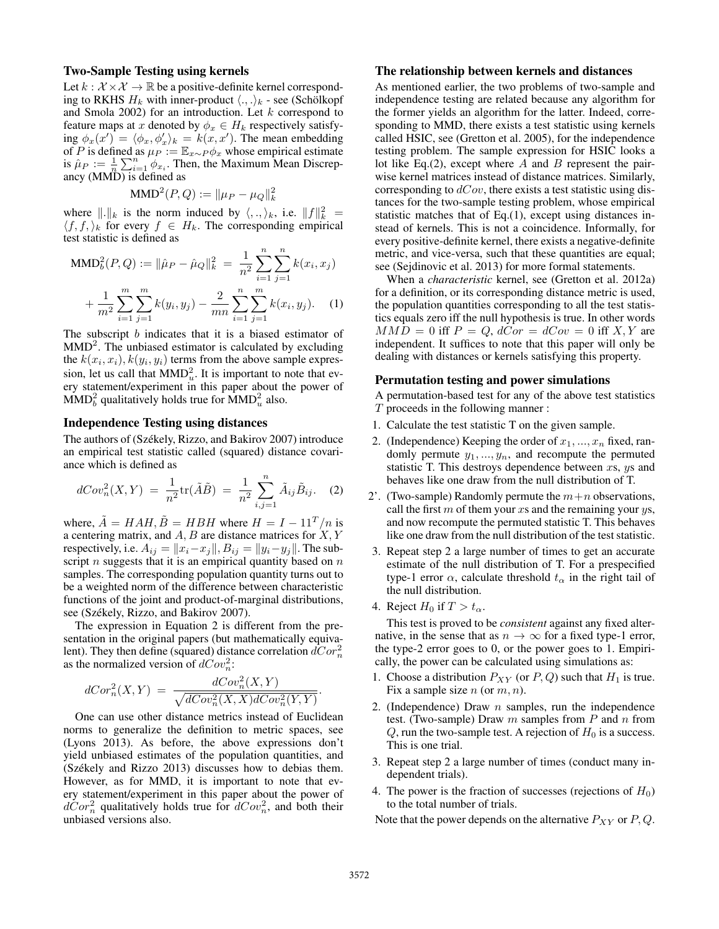## Two-Sample Testing using kernels

Let  $k : \mathcal{X} \times \mathcal{X} \rightarrow \mathbb{R}$  be a positive-definite kernel corresponding to RKHS  $H_k$  with inner-product  $\langle ., .\rangle_k$  - see (Schölkopf and Smola 2002) for an introduction. Let  $k$  correspond to feature maps at x denoted by  $\phi_x \in H_k$  respectively satisfying  $\phi_x(x') = \langle \phi_x, \phi_x' \rangle_k = k(x, x')$ . The mean embedding of P is defined as  $\mu_P := \mathbb{E}_{x \sim P} \phi_x$  whose empirical estimate is  $\hat{\mu}_P := \frac{1}{n} \sum_{i=1}^n \phi_{x_i}$ . Then, the Maximum Mean Discrepancy (MMD) is defined as

MMD<sup>2</sup>(P,Q) := 
$$
\|\mu_P - \mu_Q\|_k^2
$$

where  $\Vert \cdot \Vert_k$  is the norm induced by  $\langle \cdot, \cdot \rangle_k$ , i.e.  $\Vert f \Vert_k^2 =$  $\langle f, f, \rangle_k$  for every  $f \in H_k$ . The corresponding empirical test statistic is defined as

MMD<sub>b</sub><sup>2</sup>(P,Q) := 
$$
\|\hat{\mu}_P - \hat{\mu}_Q\|_k^2 = \frac{1}{n^2} \sum_{i=1}^n \sum_{j=1}^n k(x_i, x_j)
$$
  
+  $\frac{1}{m^2} \sum_{i=1}^m \sum_{j=1}^m k(y_i, y_j) - \frac{2}{mn} \sum_{i=1}^n \sum_{j=1}^m k(x_i, y_j).$  (1)

The subscript b indicates that it is a biased estimator of  $MMD<sup>2</sup>$ . The unbiased estimator is calculated by excluding the  $k(x_i, x_i)$ ,  $k(y_i, y_i)$  terms from the above sample expression, let us call that  $MMD<sub>u</sub><sup>2</sup>$ . It is important to note that every statement/experiment in this paper about the power of  $\text{MMD}_b^2$  qualitatively holds true for  $\text{MMD}_u^2$  also.

#### Independence Testing using distances

The authors of (Székely, Rizzo, and Bakirov 2007) introduce an empirical test statistic called (squared) distance covariance which is defined as

$$
dCov_n^2(X,Y) = \frac{1}{n^2} \text{tr}(\tilde{A}\tilde{B}) = \frac{1}{n^2} \sum_{i,j=1}^n \tilde{A}_{ij} \tilde{B}_{ij}.
$$
 (2)

where,  $\tilde{A} = HAH$ ,  $\tilde{B} = HBH$  where  $H = I - 11<sup>T</sup>/n$  is a centering matrix, and  $A, B$  are distance matrices for  $X, Y$ respectively, i.e.  $A_{ij} = ||x_i - x_j||$ ,  $B_{ij} = ||y_i - y_j||$ . The subscript  $n$  suggests that it is an empirical quantity based on  $n$ samples. The corresponding population quantity turns out to be a weighted norm of the difference between characteristic functions of the joint and product-of-marginal distributions, see (Székely, Rizzo, and Bakirov 2007).

The expression in Equation 2 is different from the presentation in the original papers (but mathematically equivalent). They then define (squared) distance correlation  $dCor_n^2$ as the normalized version of  $dCov_n^2$ :

$$
dCor_n^2(X,Y) = \frac{dCov_n^2(X,Y)}{\sqrt{dCov_n^2(X,X)dCov_n^2(Y,Y)}}.
$$

One can use other distance metrics instead of Euclidean norms to generalize the definition to metric spaces, see (Lyons 2013). As before, the above expressions don't yield unbiased estimates of the population quantities, and (Székely and Rizzo 2013) discusses how to debias them. However, as for MMD, it is important to note that every statement/experiment in this paper about the power of  $dCor_n^2$  qualitatively holds true for  $dCov_n^2$ , and both their unbiased versions also.

## The relationship between kernels and distances

As mentioned earlier, the two problems of two-sample and independence testing are related because any algorithm for the former yields an algorithm for the latter. Indeed, corresponding to MMD, there exists a test statistic using kernels called HSIC, see (Gretton et al. 2005), for the independence testing problem. The sample expression for HSIC looks a lot like Eq.(2), except where A and B represent the pairwise kernel matrices instead of distance matrices. Similarly, corresponding to  $dCov$ , there exists a test statistic using distances for the two-sample testing problem, whose empirical statistic matches that of Eq.(1), except using distances instead of kernels. This is not a coincidence. Informally, for every positive-definite kernel, there exists a negative-definite metric, and vice-versa, such that these quantities are equal; see (Sejdinovic et al. 2013) for more formal statements.

When a *characteristic* kernel, see (Gretton et al. 2012a) for a definition, or its corresponding distance metric is used, the population quantities corresponding to all the test statistics equals zero iff the null hypothesis is true. In other words  $MMD = 0$  iff  $P = Q$ ,  $dCor = dCov = 0$  iff X, Y are independent. It suffices to note that this paper will only be dealing with distances or kernels satisfying this property.

#### Permutation testing and power simulations

A permutation-based test for any of the above test statistics T proceeds in the following manner :

- 1. Calculate the test statistic T on the given sample.
- 2. (Independence) Keeping the order of  $x_1, ..., x_n$  fixed, randomly permute  $y_1, ..., y_n$ , and recompute the permuted statistic T. This destroys dependence between  $xs$ ,  $ys$  and behaves like one draw from the null distribution of T.
- 2'. (Two-sample) Randomly permute the  $m+n$  observations, call the first  $m$  of them your  $x_s$  and the remaining your  $y_s$ , and now recompute the permuted statistic T. This behaves like one draw from the null distribution of the test statistic.
- 3. Repeat step 2 a large number of times to get an accurate estimate of the null distribution of T. For a prespecified type-1 error  $\alpha$ , calculate threshold  $t_{\alpha}$  in the right tail of the null distribution.
- 4. Reject  $H_0$  if  $T > t_\alpha$ .

This test is proved to be *consistent* against any fixed alternative, in the sense that as  $n \to \infty$  for a fixed type-1 error, the type-2 error goes to 0, or the power goes to 1. Empirically, the power can be calculated using simulations as:

- 1. Choose a distribution  $P_{XY}$  (or  $P, Q$ ) such that  $H_1$  is true. Fix a sample size  $n$  (or  $m, n$ ).
- 2. (Independence) Draw  $n$  samples, run the independence test. (Two-sample) Draw  $m$  samples from  $P$  and  $n$  from  $Q$ , run the two-sample test. A rejection of  $H_0$  is a success. This is one trial.
- 3. Repeat step 2 a large number of times (conduct many independent trials).
- 4. The power is the fraction of successes (rejections of  $H_0$ ) to the total number of trials.

Note that the power depends on the alternative  $P_{XY}$  or  $P, Q$ .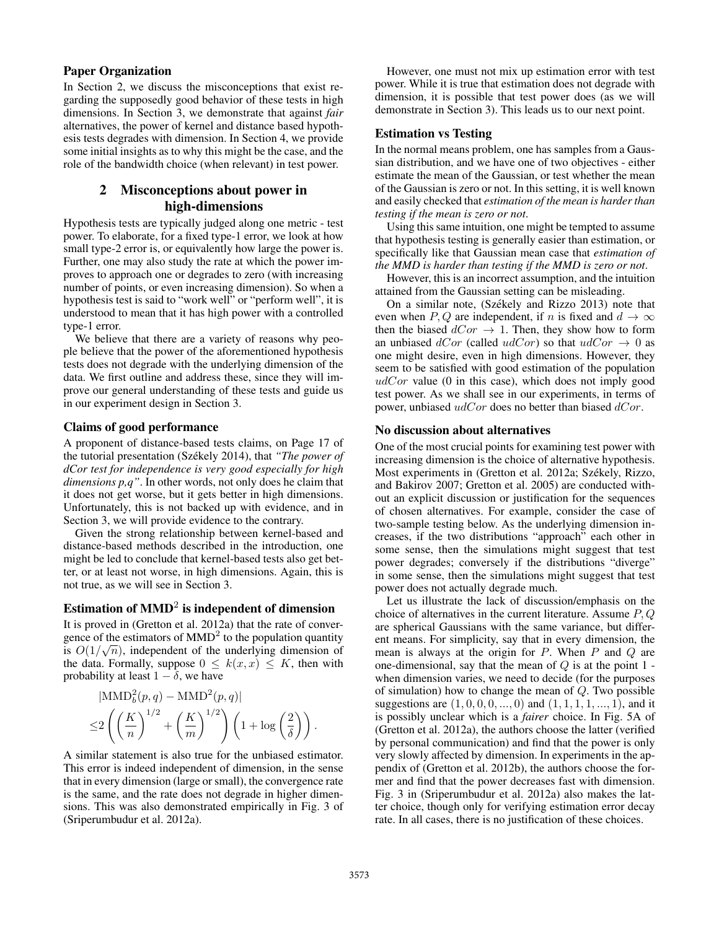# Paper Organization

In Section 2, we discuss the misconceptions that exist regarding the supposedly good behavior of these tests in high dimensions. In Section 3, we demonstrate that against *fair* alternatives, the power of kernel and distance based hypothesis tests degrades with dimension. In Section 4, we provide some initial insights as to why this might be the case, and the role of the bandwidth choice (when relevant) in test power.

# 2 Misconceptions about power in high-dimensions

Hypothesis tests are typically judged along one metric - test power. To elaborate, for a fixed type-1 error, we look at how small type-2 error is, or equivalently how large the power is. Further, one may also study the rate at which the power improves to approach one or degrades to zero (with increasing number of points, or even increasing dimension). So when a hypothesis test is said to "work well" or "perform well", it is understood to mean that it has high power with a controlled type-1 error.

We believe that there are a variety of reasons why people believe that the power of the aforementioned hypothesis tests does not degrade with the underlying dimension of the data. We first outline and address these, since they will improve our general understanding of these tests and guide us in our experiment design in Section 3.

## Claims of good performance

A proponent of distance-based tests claims, on Page 17 of the tutorial presentation (Székely 2014), that *"The power of dCor test for independence is very good especially for high dimensions p,q"*. In other words, not only does he claim that it does not get worse, but it gets better in high dimensions. Unfortunately, this is not backed up with evidence, and in Section 3, we will provide evidence to the contrary.

Given the strong relationship between kernel-based and distance-based methods described in the introduction, one might be led to conclude that kernel-based tests also get better, or at least not worse, in high dimensions. Again, this is not true, as we will see in Section 3.

# Estimation of  $\mathbf{MMD}^2$  is independent of dimension

It is proved in (Gretton et al. 2012a) that the rate of convergence of the estimators of  $MMD^2$  to the population quantity is  $O(1/\sqrt{n})$ , independent of the underlying dimension of the data. Formally, suppose  $0 \leq k(x, x) \leq K$ , then with probability at least  $1 - \delta$ , we have

$$
|\text{MMD}_b^2(p,q) - \text{MMD}^2(p,q)|
$$
  

$$
\leq 2\left(\left(\frac{K}{n}\right)^{1/2} + \left(\frac{K}{m}\right)^{1/2}\right)\left(1 + \log\left(\frac{2}{\delta}\right)\right).
$$

A similar statement is also true for the unbiased estimator. This error is indeed independent of dimension, in the sense that in every dimension (large or small), the convergence rate is the same, and the rate does not degrade in higher dimensions. This was also demonstrated empirically in Fig. 3 of (Sriperumbudur et al. 2012a).

However, one must not mix up estimation error with test power. While it is true that estimation does not degrade with dimension, it is possible that test power does (as we will demonstrate in Section 3). This leads us to our next point.

# Estimation vs Testing

In the normal means problem, one has samples from a Gaussian distribution, and we have one of two objectives - either estimate the mean of the Gaussian, or test whether the mean of the Gaussian is zero or not. In this setting, it is well known and easily checked that *estimation of the mean is harder than testing if the mean is zero or not*.

Using this same intuition, one might be tempted to assume that hypothesis testing is generally easier than estimation, or specifically like that Gaussian mean case that *estimation of the MMD is harder than testing if the MMD is zero or not*.

However, this is an incorrect assumption, and the intuition attained from the Gaussian setting can be misleading.

On a similar note, (Székely and Rizzo 2013) note that even when P, Q are independent, if n is fixed and  $d \to \infty$ then the biased  $dCor \rightarrow 1$ . Then, they show how to form an unbiased  $dCor$  (called  $udCor$ ) so that  $udCor \rightarrow 0$  as one might desire, even in high dimensions. However, they seem to be satisfied with good estimation of the population  $udCor$  value (0 in this case), which does not imply good test power. As we shall see in our experiments, in terms of power, unbiased  $udCor$  does no better than biased  $dCor$ .

## No discussion about alternatives

One of the most crucial points for examining test power with increasing dimension is the choice of alternative hypothesis. Most experiments in (Gretton et al. 2012a; Székely, Rizzo, and Bakirov 2007; Gretton et al. 2005) are conducted without an explicit discussion or justification for the sequences of chosen alternatives. For example, consider the case of two-sample testing below. As the underlying dimension increases, if the two distributions "approach" each other in some sense, then the simulations might suggest that test power degrades; conversely if the distributions "diverge" in some sense, then the simulations might suggest that test power does not actually degrade much.

Let us illustrate the lack of discussion/emphasis on the choice of alternatives in the current literature. Assume  $P, Q$ are spherical Gaussians with the same variance, but different means. For simplicity, say that in every dimension, the mean is always at the origin for  $P$ . When  $P$  and  $Q$  are one-dimensional, say that the mean of  $Q$  is at the point  $1$  when dimension varies, we need to decide (for the purposes of simulation) how to change the mean of  $Q$ . Two possible suggestions are  $(1, 0, 0, 0, \ldots, 0)$  and  $(1, 1, 1, 1, \ldots, 1)$ , and it is possibly unclear which is a *fairer* choice. In Fig. 5A of (Gretton et al. 2012a), the authors choose the latter (verified by personal communication) and find that the power is only very slowly affected by dimension. In experiments in the appendix of (Gretton et al. 2012b), the authors choose the former and find that the power decreases fast with dimension. Fig. 3 in (Sriperumbudur et al. 2012a) also makes the latter choice, though only for verifying estimation error decay rate. In all cases, there is no justification of these choices.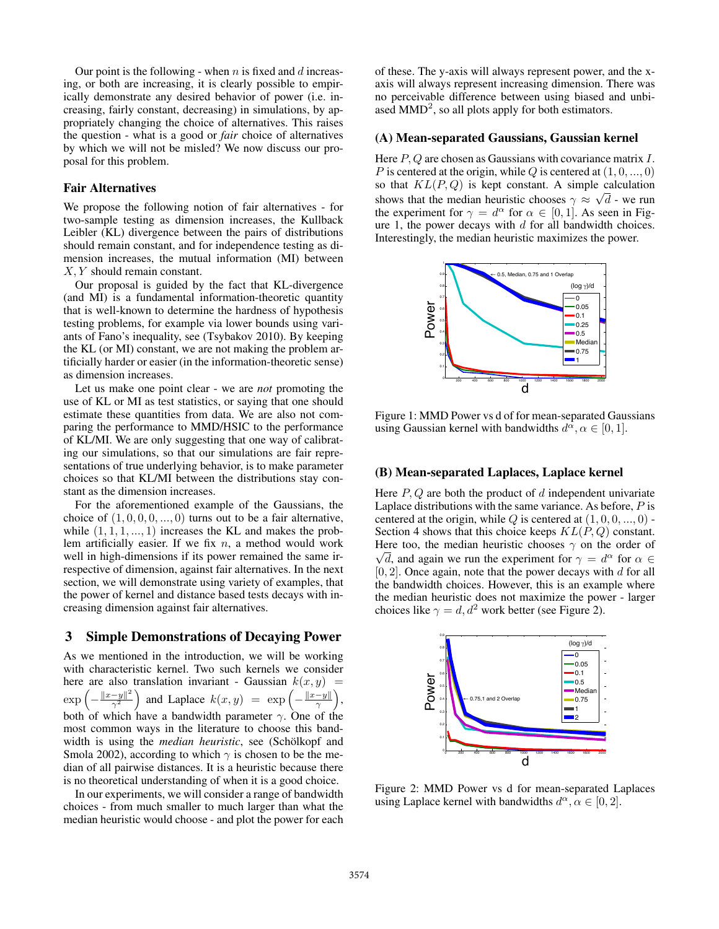Our point is the following - when  $n$  is fixed and  $d$  increasing, or both are increasing, it is clearly possible to empirically demonstrate any desired behavior of power (i.e. increasing, fairly constant, decreasing) in simulations, by appropriately changing the choice of alternatives. This raises the question - what is a good or *fair* choice of alternatives by which we will not be misled? We now discuss our proposal for this problem.

## Fair Alternatives

We propose the following notion of fair alternatives - for two-sample testing as dimension increases, the Kullback Leibler (KL) divergence between the pairs of distributions should remain constant, and for independence testing as dimension increases, the mutual information (MI) between X, Y should remain constant.

Our proposal is guided by the fact that KL-divergence (and MI) is a fundamental information-theoretic quantity that is well-known to determine the hardness of hypothesis testing problems, for example via lower bounds using variants of Fano's inequality, see (Tsybakov 2010). By keeping the KL (or MI) constant, we are not making the problem artificially harder or easier (in the information-theoretic sense) as dimension increases.

Let us make one point clear - we are *not* promoting the use of KL or MI as test statistics, or saying that one should estimate these quantities from data. We are also not comparing the performance to MMD/HSIC to the performance of KL/MI. We are only suggesting that one way of calibrating our simulations, so that our simulations are fair representations of true underlying behavior, is to make parameter choices so that KL/MI between the distributions stay constant as the dimension increases.

For the aforementioned example of the Gaussians, the choice of  $(1, 0, 0, 0, \ldots, 0)$  turns out to be a fair alternative, while  $(1, 1, 1, \ldots, 1)$  increases the KL and makes the problem artificially easier. If we fix  $n$ , a method would work well in high-dimensions if its power remained the same irrespective of dimension, against fair alternatives. In the next section, we will demonstrate using variety of examples, that the power of kernel and distance based tests decays with increasing dimension against fair alternatives.

# 3 Simple Demonstrations of Decaying Power

As we mentioned in the introduction, we will be working with characteristic kernel. Two such kernels we consider here are also translation invariant - Gaussian  $k(x, y)$  = exp  $-\frac{\|x-y\|^2}{\gamma^2}$  $\frac{(-y||^2)}{\gamma^2}$  and Laplace  $k(x, y) = \exp\left(-\frac{||x-y||}{\gamma}\right)$  $\frac{-y\|}{\gamma}$ ), both of which have a bandwidth parameter  $\gamma$ . One of the most common ways in the literature to choose this bandwidth is using the *median heuristic*, see (Schölkopf and Smola 2002), according to which  $\gamma$  is chosen to be the median of all pairwise distances. It is a heuristic because there is no theoretical understanding of when it is a good choice.

In our experiments, we will consider a range of bandwidth choices - from much smaller to much larger than what the median heuristic would choose - and plot the power for each

of these. The y-axis will always represent power, and the xaxis will always represent increasing dimension. There was no perceivable difference between using biased and unbiased  $MMD<sup>2</sup>$ , so all plots apply for both estimators.

# (A) Mean-separated Gaussians, Gaussian kernel

Here  $P, Q$  are chosen as Gaussians with covariance matrix  $I$ . P is centered at the origin, while Q is centered at  $(1, 0, ..., 0)$ so that  $KL(P,Q)$  is kept constant. A simple calculation shows that the median heuristic chooses  $\gamma \approx \sqrt{d}$  - we run the experiment for  $\gamma = d^{\alpha}$  for  $\alpha \in [0, 1]$ . As seen in Figure 1, the power decays with  $d$  for all bandwidth choices. Interestingly, the median heuristic maximizes the power.



Figure 1: MMD Power vs d of for mean-separated Gaussians using Gaussian kernel with bandwidths  $d^{\alpha}, \alpha \in [0, 1]$ .

#### (B) Mean-separated Laplaces, Laplace kernel

Here  $P, Q$  are both the product of  $d$  independent univariate Laplace distributions with the same variance. As before,  $P$  is centered at the origin, while  $Q$  is centered at  $(1, 0, 0, \ldots, 0)$  -Section 4 shows that this choice keeps  $KL(P, Q)$  constant. Here too, the median heuristic chooses  $\gamma$  on the order of  $\overline{d}$ , and again we run the experiment for  $\gamma = d^{\alpha}$  for  $\alpha \in$  $[0, 2]$ . Once again, note that the power decays with d for all the bandwidth choices. However, this is an example where the median heuristic does not maximize the power - larger choices like  $\gamma = d, d^2$  work better (see Figure 2).



Figure 2: MMD Power vs d for mean-separated Laplaces using Laplace kernel with bandwidths  $d^{\alpha}, \alpha \in [0, 2]$ .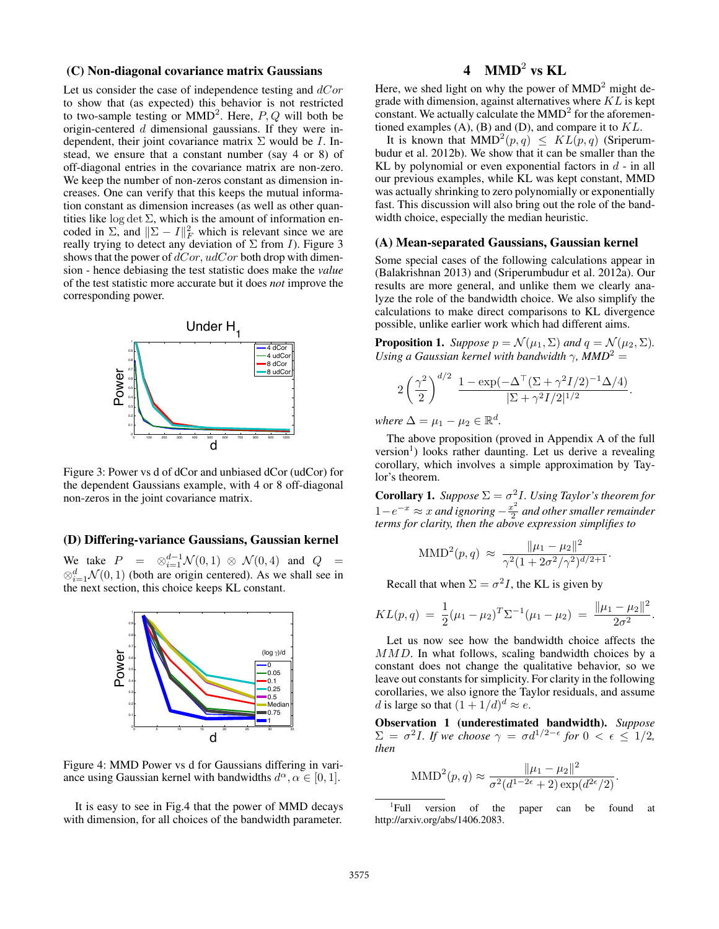## (C) Non-diagonal covariance matrix Gaussians

Let us consider the case of independence testing and  $dCor$ to show that (as expected) this behavior is not restricted to two-sample testing or  $MMD^2$ . Here,  $P, Q$  will both be origin-centered d dimensional gaussians. If they were independent, their joint covariance matrix  $\Sigma$  would be *I*. Instead, we ensure that a constant number (say 4 or 8) of off-diagonal entries in the covariance matrix are non-zero. We keep the number of non-zeros constant as dimension increases. One can verify that this keeps the mutual information constant as dimension increases (as well as other quantities like log det  $\Sigma$ , which is the amount of information encoded in  $\Sigma$ , and  $\|\Sigma - I\|_F^2$  which is relevant since we are really trying to detect any deviation of  $\Sigma$  from *I*). Figure 3 shows that the power of  $dCor$ ,  $udCor$  both drop with dimension - hence debiasing the test statistic does make the *value* of the test statistic more accurate but it does *not* improve the corresponding power.



Figure 3: Power vs d of dCor and unbiased dCor (udCor) for the dependent Gaussians example, with 4 or 8 off-diagonal non-zeros in the joint covariance matrix.

# (D) Differing-variance Gaussians, Gaussian kernel

We take  $P = \otimes_{i=1}^{d-1} \mathcal{N}(0,1) \otimes \mathcal{N}(0,4)$  and  $Q =$  $\otimes_{i=1}^d \mathcal{N}(0,1)$  (both are origin centered). As we shall see in the next section, this choice keeps KL constant.



Figure 4: MMD Power vs d for Gaussians differing in variance using Gaussian kernel with bandwidths  $d^{\alpha}, \alpha \in [0, 1]$ .

It is easy to see in Fig.4 that the power of MMD decays with dimension, for all choices of the bandwidth parameter.

# 4  $\text{MMD}^2$  vs KL

Here, we shed light on why the power of  $MMD<sup>2</sup>$  might degrade with dimension, against alternatives where  $KL$  is kept constant. We actually calculate the  $MMD<sup>2</sup>$  for the aforementioned examples  $(A)$ ,  $(B)$  and  $(D)$ , and compare it to  $KL$ .

It is known that  $\text{MMD}^2(p,q) \leq KL(p,q)$  (Sriperumbudur et al. 2012b). We show that it can be smaller than the KL by polynomial or even exponential factors in  $d$  - in all our previous examples, while KL was kept constant, MMD was actually shrinking to zero polynomially or exponentially fast. This discussion will also bring out the role of the bandwidth choice, especially the median heuristic.

## (A) Mean-separated Gaussians, Gaussian kernel

Some special cases of the following calculations appear in (Balakrishnan 2013) and (Sriperumbudur et al. 2012a). Our results are more general, and unlike them we clearly analyze the role of the bandwidth choice. We also simplify the calculations to make direct comparisons to KL divergence possible, unlike earlier work which had different aims.

**Proposition 1.** *Suppose*  $p = \mathcal{N}(\mu_1, \Sigma)$  *and*  $q = \mathcal{N}(\mu_2, \Sigma)$ *. Using a Gaussian kernel with bandwidth*  $\gamma$ *, MMD*<sup>2</sup> =

$$
2\left(\frac{\gamma^2}{2}\right)^{d/2} \frac{1 - \exp(-\Delta^{\top}(\Sigma + \gamma^2 I/2)^{-1} \Delta/4)}{|\Sigma + \gamma^2 I/2|^{1/2}}.
$$

*where*  $\Delta = \mu_1 - \mu_2 \in \mathbb{R}^d$ .

The above proposition (proved in Appendix A of the full version<sup>1</sup>) looks rather daunting. Let us derive a revealing corollary, which involves a simple approximation by Taylor's theorem.

**Corollary 1.** *Suppose*  $\Sigma = \sigma^2 I$ *. Using Taylor's theorem for*  $1-e^{-x} \approx x$  and ignoring  $-\frac{x^2}{2}$ 2 *and other smaller remainder terms for clarity, then the above expression simplifies to*

$$
\text{MMD}^{2}(p,q) \approx \frac{\|\mu_1 - \mu_2\|^2}{\gamma^2 (1 + 2\sigma^2/\gamma^2)^{d/2 + 1}}.
$$

Recall that when  $\Sigma = \sigma^2 I$ , the KL is given by

$$
KL(p,q) = \frac{1}{2}(\mu_1 - \mu_2)^T \Sigma^{-1}(\mu_1 - \mu_2) = \frac{\|\mu_1 - \mu_2\|^2}{2\sigma^2}.
$$

Let us now see how the bandwidth choice affects the MMD. In what follows, scaling bandwidth choices by a constant does not change the qualitative behavior, so we leave out constants for simplicity. For clarity in the following corollaries, we also ignore the Taylor residuals, and assume d is large so that  $(1+1/d)^d \approx e$ .

Observation 1 (underestimated bandwidth). *Suppose*  $\Sigma = \sigma^2 I$ *. If we choose*  $\gamma = \sigma d^{1/2-\epsilon}$  for  $0 < \epsilon \leq 1/2$ , *then*

$$
\text{MMD}^{2}(p,q) \approx \frac{\|\mu_1 - \mu_2\|^2}{\sigma^2(d^{1-2\epsilon} + 2) \exp(d^{2\epsilon}/2)}.
$$

<sup>&</sup>lt;sup>1</sup>Full version of the paper can be found at http://arxiv.org/abs/1406.2083.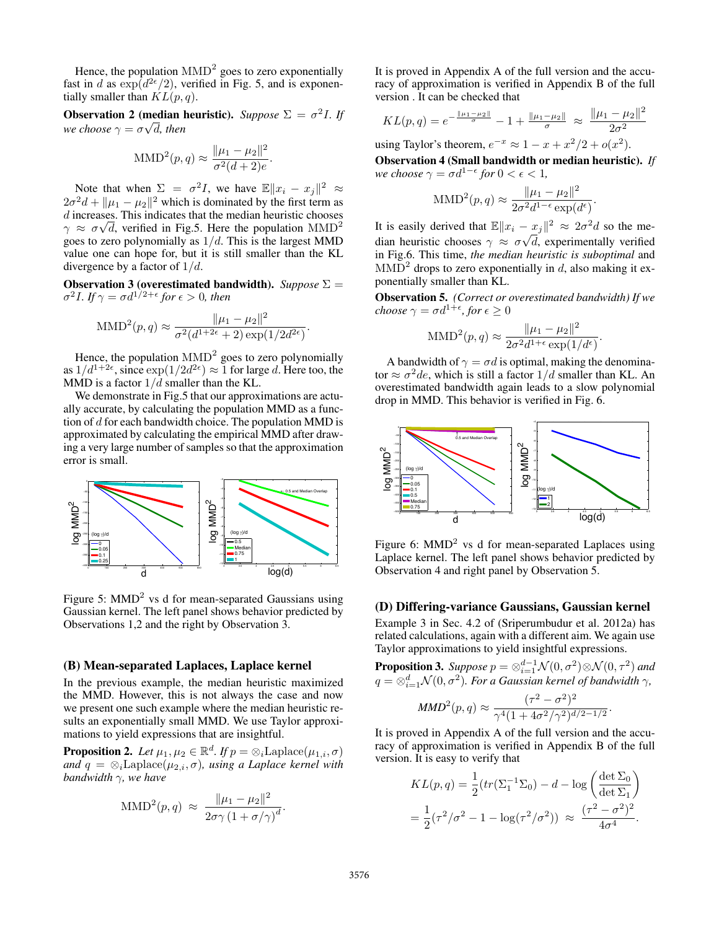Hence, the population  $\text{MMD}^2$  goes to zero exponentially fast in d as  $\exp(d^{2\epsilon}/2)$ , verified in Fig. 5, and is exponentially smaller than  $KL(p, q)$ .

**Observation 2 (median heuristic).** *Suppose*  $\Sigma = \sigma^2 I$ . *If* we choose  $\gamma = \sigma \sqrt{d}$ , then

$$
\text{MMD}^{2}(p,q) \approx \frac{\|\mu_1 - \mu_2\|^2}{\sigma^2(d+2)e}.
$$

Note that when  $\Sigma = \sigma^2 I$ , we have  $\mathbb{E} \|x_i - x_j\|^2 \approx$  $2\sigma^2 d + ||\mu_1 - \mu_2||^2$  which is dominated by the first term as *d* increases. This indicates that the median heuristic chooses  $\gamma \approx \sigma \sqrt{d}$ , verified in Fig.5. Here the population  $\text{MMD}^2$ goes to zero polynomially as  $1/d$ . This is the largest MMD value one can hope for, but it is still smaller than the KL divergence by a factor of  $1/d$ .

**Observation 3 (overestimated bandwidth).** *Suppose*  $\Sigma$  =  $\sigma^2 I$ *. If*  $\gamma = \sigma d^{1/2+\epsilon}$  for  $\epsilon > 0$ *, then* 

$$
\text{MMD}^{2}(p,q) \approx \frac{\|\mu_1 - \mu_2\|^2}{\sigma^2(d^{1+2\epsilon} + 2) \exp(1/2d^{2\epsilon})}
$$

.

Hence, the population  $\text{MMD}^2$  goes to zero polynomially as  $1/d^{1+2\epsilon}$ , since  $\exp(1/2d^{2\epsilon}) \approx 1$  for large d. Here too, the MMD is a factor  $1/d$  smaller than the KL.

We demonstrate in Fig. 5 that our approximations are actually accurate, by calculating the population MMD as a function of  $d$  for each bandwidth choice. The population MMD is approximated by calculating the empirical MMD after drawing a very large number of samples so that the approximation error is small.



Figure 5: MMD<sup>2</sup> vs d for mean-separated Gaussians using Gaussian kernel. The left panel shows behavior predicted by Observations 1,2 and the right by Observation 3.

## (B) Mean-separated Laplaces, Laplace kernel

In the previous example, the median heuristic maximized the MMD. However, this is not always the case and now we present one such example where the median heuristic results an exponentially small MMD. We use Taylor approximations to yield expressions that are insightful.

**Proposition 2.** Let  $\mu_1, \mu_2 \in \mathbb{R}^d$ . If  $p = \otimes_i$ Laplace $(\mu_{1,i}, \sigma)$ *and*  $q = \otimes_i \text{Laplace}(\mu_{2,i}, \sigma)$ *, using a Laplace kernel with bandwidth* γ*, we have*

$$
\text{MMD}^{2}(p,q) \approx \frac{\|\mu_1 - \mu_2\|^2}{2\sigma\gamma\left(1 + \sigma/\gamma\right)^{d}}.
$$

It is proved in Appendix A of the full version and the accuracy of approximation is verified in Appendix B of the full version . It can be checked that

$$
KL(p,q) = e^{-\frac{\|\mu_1 - \mu_2\|}{\sigma}} - 1 + \frac{\|\mu_1 - \mu_2\|}{\sigma} \approx \frac{\|\mu_1 - \mu_2\|^2}{2\sigma^2}
$$

using Taylor's theorem,  $e^{-x} \approx 1 - x + x^2/2 + o(x^2)$ .

Observation 4 (Small bandwidth or median heuristic). *If we choose*  $\gamma = \sigma d^{1-\epsilon}$  for  $0 < \epsilon < 1$ ,

$$
\text{MMD}^{2}(p,q) \approx \frac{\|\mu_1 - \mu_2\|^2}{2\sigma^2 d^{1-\epsilon} \exp(d^{\epsilon})}.
$$

It is easily derived that  $\mathbb{E} \|x_i - x_j\|^2 \approx 2\sigma^2 d$  so the median heuristic chooses  $\gamma \approx \sigma \sqrt{d}$ , experimentally verified in Fig.6. This time, *the median heuristic is suboptimal* and  $\text{MMD}^2$  drops to zero exponentially in d, also making it exponentially smaller than KL.

Observation 5. *(Correct or overestimated bandwidth) If we*  $choose \ \gamma = \sigma d^{1+\epsilon}, for \ \epsilon \geq 0$ 

$$
\text{MMD}^{2}(p,q) \approx \frac{\|\mu_1 - \mu_2\|^2}{2\sigma^2 d^{1+\epsilon} \exp(1/d^{\epsilon})}.
$$

A bandwidth of  $\gamma = \sigma d$  is optimal, making the denominator  $\approx \sigma^2 de$ , which is still a factor  $1/d$  smaller than KL. An overestimated bandwidth again leads to a slow polynomial drop in MMD. This behavior is verified in Fig. 6.



Figure 6:  $MMD<sup>2</sup>$  vs d for mean-separated Laplaces using Laplace kernel. The left panel shows behavior predicted by Observation 4 and right panel by Observation 5.

## (D) Differing-variance Gaussians, Gaussian kernel

Example 3 in Sec. 4.2 of (Sriperumbudur et al. 2012a) has related calculations, again with a different aim. We again use Taylor approximations to yield insightful expressions.

**Proposition 3.** Suppose  $p = \otimes_{i=1}^{d-1} \mathcal{N}(0, \sigma^2) \otimes \mathcal{N}(0, \tau^2)$  and  $q=\otimes_{i=1}^d{\cal N}(0, \sigma^2).$  For a Gaussian kernel of bandwidth  $\gamma,$ 

$$
MMD^{2}(p,q) \approx \frac{(\tau^{2} - \sigma^{2})^{2}}{\gamma^{4}(1 + 4\sigma^{2}/\gamma^{2})^{d/2 - 1/2}}.
$$

It is proved in Appendix A of the full version and the accuracy of approximation is verified in Appendix B of the full version. It is easy to verify that

$$
KL(p,q) = \frac{1}{2} (tr(\Sigma_1^{-1} \Sigma_0) - d - \log\left(\frac{\det \Sigma_0}{\det \Sigma_1}\right))
$$
  
=  $\frac{1}{2} (\tau^2/\sigma^2 - 1 - \log(\tau^2/\sigma^2)) \approx \frac{(\tau^2 - \sigma^2)^2}{4\sigma^4}.$